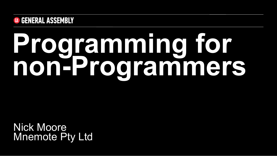

Nick Moore Mnemote Pty Ltd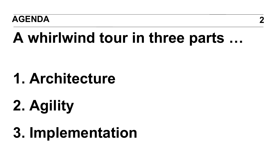#### **AGENDA 2**

## **A whirlwind tour in three parts …**

## **1. Architecture**

## **2. Agility**

## **3. Implementation**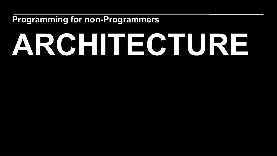## **ARCHITECTURE**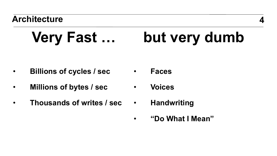#### **Very Fast … but very dumb**

- **Billions of cycles / sec**  • **Faces**
- **Millions of bytes / sec**  • **Voices**
- **Thousands of writes / sec**  • **Handwriting** 
	-
	- **"Do What I Mean"**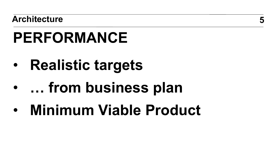## **PERFORMANCE**

- **Realistic targets**
- **… from business plan**
- **Minimum Viable Product**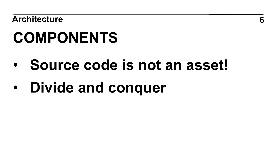## **COMPONENTS**

- **Source code is not an asset!**
- **Divide and conquer**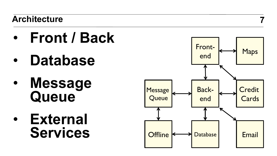- **Front / Back**
- **Database**
- **Message Queue**
- **External Services**



**7**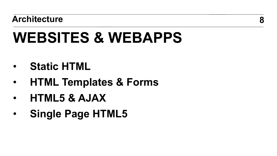## **WEBSITES & WEBAPPS**

- **Static HTML**
- **HTML Templates & Forms**
- **HTML5 & AJAX**
- **Single Page HTML5**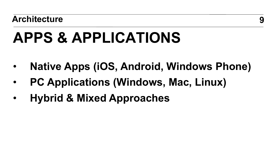## **APPS & APPLICATIONS**

- **Native Apps (iOS, Android, Windows Phone)**
- **PC Applications (Windows, Mac, Linux)**
- **Hybrid & Mixed Approaches**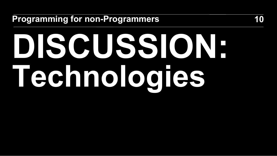# **DISCUSSION: Technologies**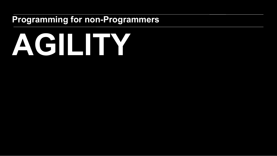## **AGILITY**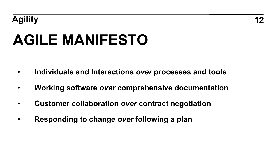## **AGILE MANIFESTO**

- **Individuals and Interactions** *over* **processes and tools**
- **Working software** *over* **comprehensive documentation**
- **Customer collaboration** *over* **contract negotiation**
- **Responding to change** *over* **following a plan**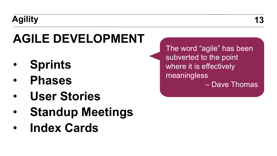### **Agility 13**

### **AGILE DEVELOPMENT**

- **Sprints**
- **Phases**
- **User Stories**
- **Standup Meetings**
- **Index Cards**

The word "agile" has been subverted to the point where it is effectively meaningless – Dave Thomas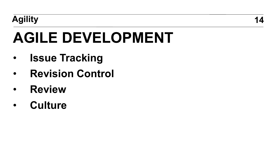## **AGILE DEVELOPMENT**

- **Issue Tracking**
- **Revision Control**
- **Review**
- **Culture**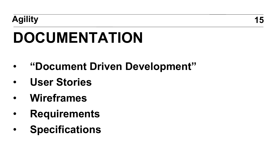#### **Agility 15**

## **DOCUMENTATION**

- **"Document Driven Development"**
- **User Stories**
- **Wireframes**
- **Requirements**
- **Specifications**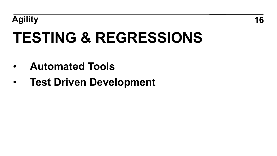## **TESTING & REGRESSIONS**

- **Automated Tools**
- **Test Driven Development**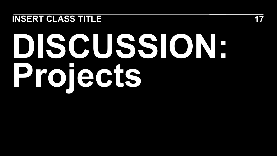#### **INSERT CLASS TITLE 17**

## **DISCUSSION: Projects**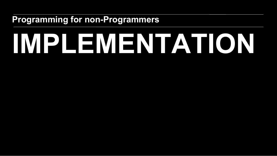## **IMPLEMENTATION**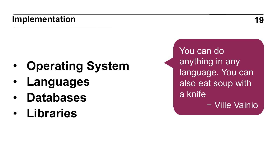- **Operating System**
- **Languages**
- **Databases**
- **Libraries**

You can do anything in any language. You can also eat soup with a knife − Ville Vainio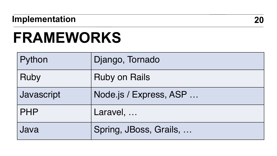#### **Implementation 20**

### **FRAMEWORKS**

| Python     | Django, Tornado        |
|------------|------------------------|
| Ruby       | <b>Ruby on Rails</b>   |
| Javascript | Node.js / Express, ASP |
| <b>PHP</b> | Laravel,               |
| Java       | Spring, JBoss, Grails, |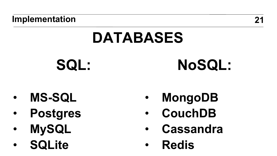#### **Implementation 21**

## **DATABASES**

**SQL:** 

## **NoSQL:**

- **MS-SQL**
- **Postgres**
- **MySQL**
- **SQLite**
- **MongoDB**
- **CouchDB**
- **Cassandra**
- **Redis**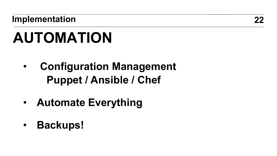**Implementation 22**

## **AUTOMATION**

- **Configuration Management Puppet / Ansible / Chef**
- **Automate Everything**
- **Backups!**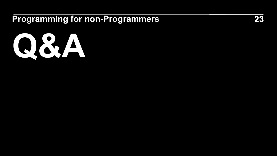